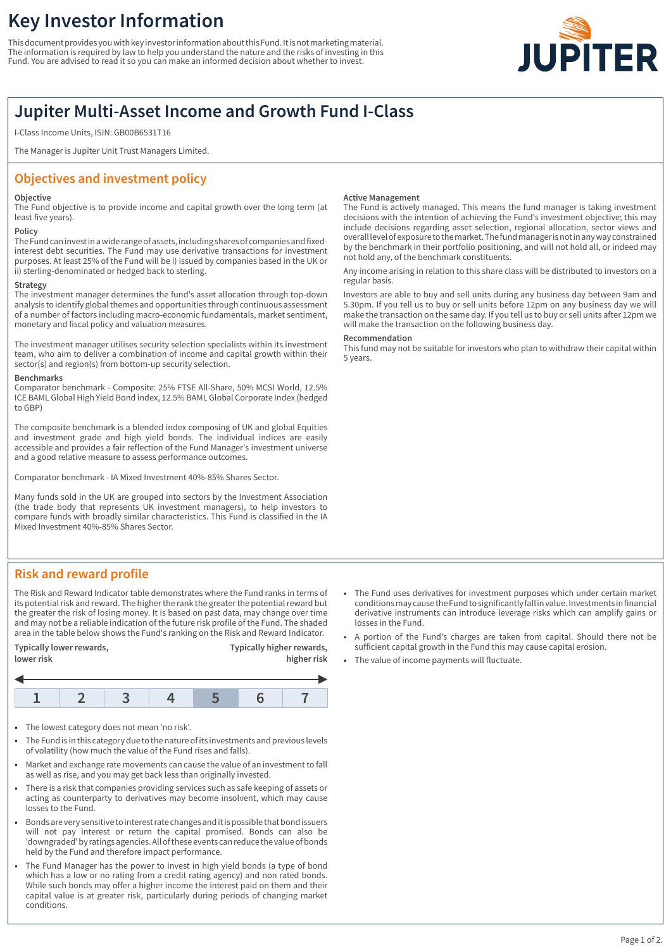# **Key Investor Information**

This document provides you with key investor information about this Fund. It is not marketing material. The information is required by law to help you understand the nature and the risks of investing in this Fund. You are advised to read it so you can make an informed decision about whether to invest.



## **Jupiter Multi-Asset Income and Growth Fund I-Class**

I-Class Income Units, ISIN: GB00B6531T16

The Manager is Jupiter Unit Trust Managers Limited.

### **Objectives and investment policy**

#### **Objective**

The Fund objective is to provide income and capital growth over the long term (at least five years).

### **Policy**

The Fund can invest in a wide range of assets, including shares of companies and fixedinterest debt securities. The Fund may use derivative transactions for investment purposes. At least 25% of the Fund will be i) issued by companies based in the UK or ii) sterling-denominated or hedged back to sterling.

#### **Strategy**

The investment manager determines the fund's asset allocation through top-down analysis to identify global themes and opportunities through continuous assessment of a number of factors including macro-economic fundamentals, market sentiment, monetary and fiscal policy and valuation measures.

The investment manager utilises security selection specialists within its investment team, who aim to deliver a combination of income and capital growth within their sector(s) and region(s) from bottom-up security selection.

#### **Benchmarks**

Comparator benchmark - Composite: 25% FTSE All-Share, 50% MCSI World, 12.5% ICE BAML Global High Yield Bond index, 12.5% BAML Global Corporate Index (hedged to GBP)

The composite benchmark is a blended index composing of UK and global Equities and investment grade and high yield bonds. The individual indices are easily accessible and provides a fair reflection of the Fund Manager's investment universe and a good relative measure to assess performance outcomes.

Comparator benchmark - IA Mixed Investment 40%-85% Shares Sector.

Many funds sold in the UK are grouped into sectors by the Investment Association (the trade body that represents UK investment managers), to help investors to compare funds with broadly similar characteristics. This Fund is classified in the IA Mixed Investment 40%-85% Shares Sector.

#### **Active Management**

The Fund is actively managed. This means the fund manager is taking investment decisions with the intention of achieving the Fund's investment objective; this may include decisions regarding asset selection, regional allocation, sector views and overall level of exposure to the market. The fund manager is not in any way constrained by the benchmark in their portfolio positioning, and will not hold all, or indeed may not hold any, of the benchmark constituents.

Any income arising in relation to this share class will be distributed to investors on a regular basis.

Investors are able to buy and sell units during any business day between 9am and 5.30pm. If you tell us to buy or sell units before 12pm on any business day we will make the transaction on the same day. If you tell us to buy or sell units after 12pm we will make the transaction on the following business day.

#### **Recommendation**

This fund may not be suitable for investors who plan to withdraw their capital within 5 years.

### **Risk and reward profile**

The Risk and Reward Indicator table demonstrates where the Fund ranks in terms of its potential risk and reward. The higher the rank the greater the potential reward but the greater the risk of losing money. It is based on past data, may change over time and may not be a reliable indication of the future risk profile of the Fund. The shaded area in the table below shows the Fund's ranking on the Risk and Reward Indicator.

**Typically lower rewards, Typically higher rewards,**



- The lowest category does not mean 'no risk'.
- 1 The Fund is in this category due to the nature of its investments and previous levels of volatility (how much the value of the Fund rises and falls).
- Market and exchange rate movements can cause the value of an investment to fall as well as rise, and you may get back less than originally invested.
- 1 There is a risk that companies providing services such as safe keeping of assets or acting as counterparty to derivatives may become insolvent, which may cause losses to the Fund.
- 1 Bonds are very sensitive to interest rate changes and it is possible that bond issuers will not pay interest or return the capital promised. Bonds can also be 'downgraded' by ratings agencies. All of these events can reduce the value of bonds held by the Fund and therefore impact performance.
- The Fund Manager has the power to invest in high yield bonds (a type of bond which has a low or no rating from a credit rating agency) and non rated bonds. While such bonds may offer a higher income the interest paid on them and their capital value is at greater risk, particularly during periods of changing market conditions.
- 1 The Fund uses derivatives for investment purposes which under certain market conditions may cause the Fund to significantly fall in value. Investments in financial derivative instruments can introduce leverage risks which can amplify gains or losses in the Fund.
- 1 A portion of the Fund's charges are taken from capital. Should there not be sufficient capital growth in the Fund this may cause capital erosion.
- The value of income payments will fluctuate.

**lower risk higher risk**